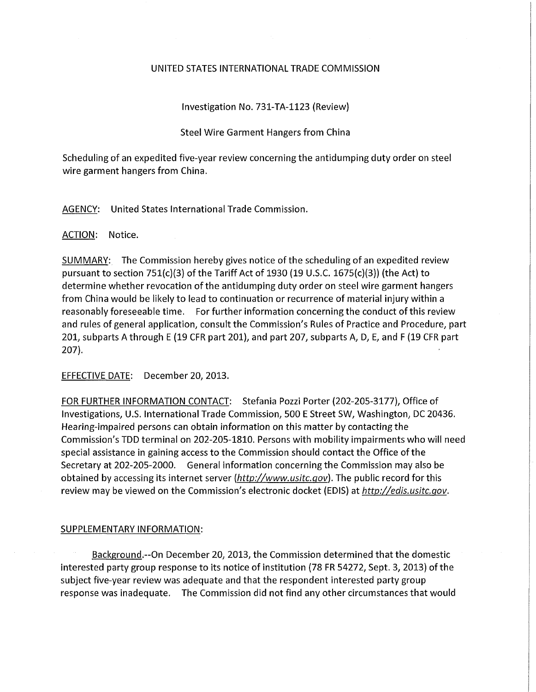## UNITED STATES INTERNATIONAL TRADE COMMISSION

Investigation No. 731-TA-1123 (Review)

## Steel Wire Garment Hangers from China

Scheduling of an expedited five-year review concerning the antidumping duty order on steel wire garment hangers from China.

AGENCY: United States International Trade Commission.

ACTION: Notice.

SUMMARY: The Commission hereby gives notice of the scheduling of an expedited review pursuant to section 751(c)(3) of the Tariff Act of 1930 (19 U.S.C. 1675(c)(3)) (the Act) to determine whether revocation of the antidumping duty order on steel wire garment hangers from China would be likely to lead to continuation or recurrence of material injury within a reasonably foreseeable time. For further information concerning the conduct of this review and rules of general application, consult the Commission's Rules of Practice and Procedure, part 201, subparts A through E (19 CFR part 201), and part 207, subparts A, D, E, and F (19 CFR part 207).

EFFECTIVE DATE: December 20, 2013.

FOR FURTHER INFORMATION CONTACT: Stefania Pozzi Porter (202-205-3177), Office of Investigations, U.S. International Trade Commission, 500 E Street SW, Washington, DC 20436. Hearing-impaired persons can obtain information on this matter by contacting the Commission's TDD terminal on 202-205-1810. Persons with mobility impairments who will need special assistance in gaining access to the Commission should contact the Office of the Secretary at 202-205-2000. General information concerning the Commission may also be obtained by accessing its internet server (http://www.usitc.gov). The public record for this review may be viewed on the Commission's electronic docket (EDIS) at http://edis.usitc.gov.

## SUPPLEMENTARY INFORMATION:

Background.—On December 20, 2013, the Commission determined that the domestic interested party group response to its notice of institution (78 FR 54272, Sept. 3, 2013) of the subject five-year review was adequate and that the respondent interested party group response was inadequate. The Commission did not find any other circumstances that would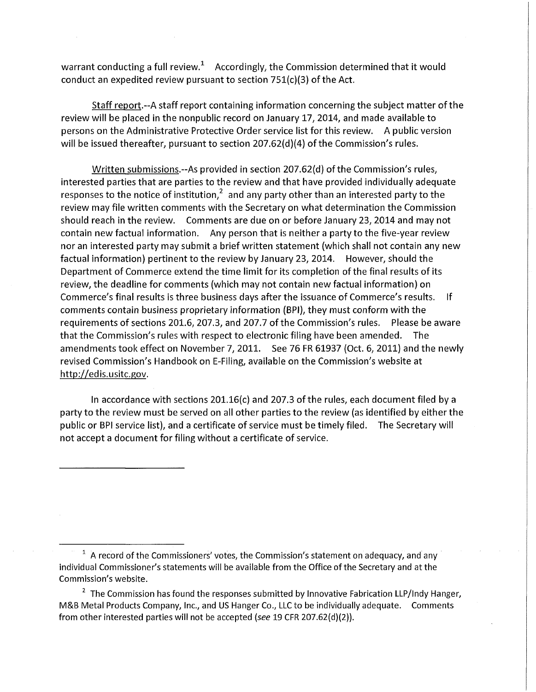warrant conducting a full review.<sup>+</sup> Accordingly, the Commission determined that it would conduct an expedited review pursuant to section 751(c)(3) of the Act.

Staff report.-A staff report containing information concerning the subject matter of the review will be placed in the nonpublic record on January 17, 2014, and made available to persons on the Administrative Protective Order service list for this review. A public version will be issued thereafter, pursuant to section 207.62(d)(4) of the Commission's rules.

Written submissions.-As provided in section 207.62(d) of the Commission's rules, interested parties that are parties to the review and that have provided individually adequate responses to the notice of institution, $\hat{}$  and any party other than an interested party to the review may file written comments with the Secretary on what determination the Commission should reach in the review. Comments are due on or before January 23, 2014 and may not contain new factual information. Any person that is neither a party to the five-year review nor an interested party may submit a brief written statement (which shall not contain any new factual information) pertinent to the review by January 23, 2014. However, should the Department of Commerce extend the time limit for its completion of the final results of its review, the deadline for comments (which may not contain new factual information) on Commerce's final results is three business days after the issuance of Commerce's results. If comments contain business proprietary information (BPI), they must conform with the requirements of sections 201.6, 207.3, and 207.7 of the Commission's rules. Please be aware that the Commission's rules with respect to electronic filing have been amended. The amendments took effect on November 7, 2011. See 76 FR 61937 (Oct. 6, 2011) and the newly revised Commission's Handbook on E-Filing, available on the Commission's website at http://edis.usitc.gov.

In accordance with sections 201.16(c) and 207.3 of the rules, each document filed by a party to the review must be served on all other parties to the review (as identified by either the public or BPI service list), and a certificate of service must be timely filed. The Secretary will not accept a document for filing without a certificate of service.

<sup>1</sup> A record of the Commissioners' votes, the Commission's statement on adequacy, and any individual Commissioner's statements will be available from the Office of the Secretary and at the Commission's website.

 $^\circ$  The Commission has found the responses submitted by Innovative Fabrication LLP/Indy Hanger,  $\,$ M&B Metal Products Company, Inc., and US Hanger Co., LLC to be individually adequate. Comments from other interested parties will not be accepted (see 19 CFR 207.62(d)(2)).